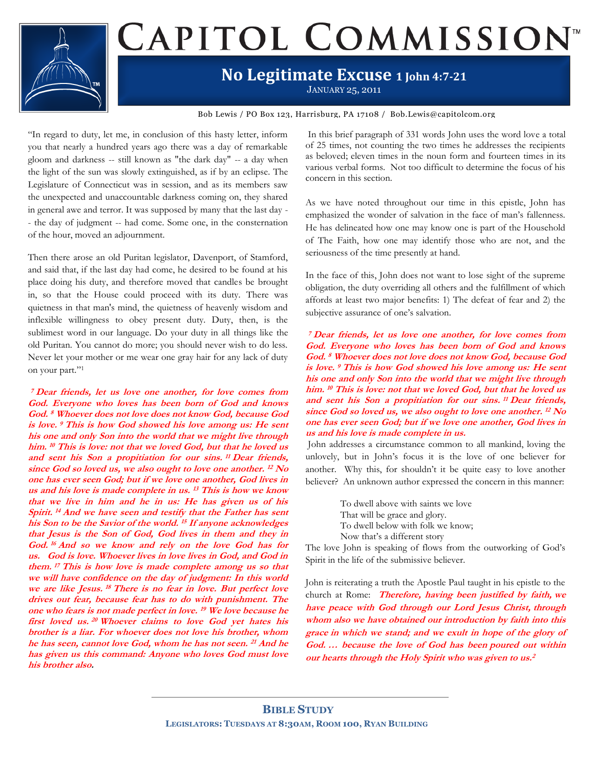

# CAPITOL COMMISSION<sup>®</sup>

### **No Legitimate Excuse 1 John 4:7-21**

JANUARY 25, 2011

Bob Lewis / PO Box 123, Harrisburg, PA 17108 / Bob.Lewis@capitolcom.org

"In regard to duty, let me, in conclusion of this hasty letter, inform you that nearly a hundred years ago there was a day of remarkable gloom and darkness -- still known as "the dark day" -- a day when the light of the sun was slowly extinguished, as if by an eclipse. The Legislature of Connecticut was in session, and as its members saw the unexpected and unaccountable darkness coming on, they shared in general awe and terror. It was supposed by many that the last day - - the day of judgment -- had come. Some one, in the consternation of the hour, moved an adjournment.

Then there arose an old Puritan legislator, Davenport, of Stamford, and said that, if the last day had come, he desired to be found at his place doing his duty, and therefore moved that candles be brought in, so that the House could proceed with its duty. There was quietness in that man's mind, the quietness of heavenly wisdom and inflexible willingness to obey present duty. Duty, then, is the sublimest word in our language. Do your duty in all things like the old Puritan. You cannot do more; you should never wish to do less. Never let your mother or me wear one gray hair for any lack of duty on your part." 1

**<sup>7</sup> Dear friends, let us love one another, for love comes from God. Everyone who loves has been born of God and knows God. <sup>8</sup> Whoever does not love does not know God, because God is love. <sup>9</sup> This is how God showed his love among us: He sent his one and only Son into the world that we might live through him. <sup>10</sup> This is love: not that we loved God, but that he loved us and sent his Son a propitiation for our sins. 11 Dear friends, since God so loved us, we also ought to love one another. 12 No one has ever seen God; but if we love one another, God lives in us and his love is made complete in us. <sup>13</sup> This is how we know that we live in him and he in us: He has given us of his Spirit. <sup>14</sup> And we have seen and testify that the Father has sent his Son to be the Savior of the world. <sup>15</sup> If anyone acknowledges that Jesus is the Son of God, God lives in them and they in God. <sup>16</sup> And so we know and rely on the love God has for us. God is love. Whoever lives in love lives in God, and God in them. <sup>17</sup> This is how love is made complete among us so that we will have confidence on the day of judgment: In this world we are like Jesus. <sup>18</sup> There is no fear in love. But perfect love drives out fear, because fear has to do with punishment. The one who fears is not made perfect in love. <sup>19</sup> We love because he first loved us. <sup>20</sup> Whoever claims to love God yet hates his brother is a liar. For whoever does not love his brother, whom he has seen, cannot love God, whom he has not seen. 21 And he has given us this command: Anyone who loves God must love his brother also.**

In this brief paragraph of 331 words John uses the word love a total of 25 times, not counting the two times he addresses the recipients as beloved; eleven times in the noun form and fourteen times in its various verbal forms. Not too difficult to determine the focus of his concern in this section.

As we have noted throughout our time in this epistle, John has emphasized the wonder of salvation in the face of man's fallenness. He has delineated how one may know one is part of the Household of The Faith, how one may identify those who are not, and the seriousness of the time presently at hand.

In the face of this, John does not want to lose sight of the supreme obligation, the duty overriding all others and the fulfillment of which affords at least two major benefits: 1) The defeat of fear and 2) the subjective assurance of one's salvation.

**<sup>7</sup> Dear friends, let us love one another, for love comes from God. Everyone who loves has been born of God and knows God. <sup>8</sup> Whoever does not love does not know God, because God is love. <sup>9</sup> This is how God showed his love among us: He sent his one and only Son into the world that we might live through him. <sup>10</sup> This is love: not that we loved God, but that he loved us and sent his Son a propitiation for our sins. 11 Dear friends, since God so loved us, we also ought to love one another. 12 No one has ever seen God; but if we love one another, God lives in us and his love is made complete in us.**

John addresses a circumstance common to all mankind, loving the unlovely, but in John's focus it is the love of one believer for another. Why this, for shouldn't it be quite easy to love another believer? An unknown author expressed the concern in this manner:

> To dwell above with saints we love That will be grace and glory. To dwell below with folk we know; Now that's a different story

The love John is speaking of flows from the outworking of God's Spirit in the life of the submissive believer.

John is reiterating a truth the Apostle Paul taught in his epistle to the church at Rome: **Therefore, having been justified by faith, we have peace with God through our Lord Jesus Christ, through whom also we have obtained our introduction by faith into this grace in which we stand; and we exult in hope of the glory of God. … because the love of God has been poured out within our hearts through the Holy Spirit who was given to us. 2**